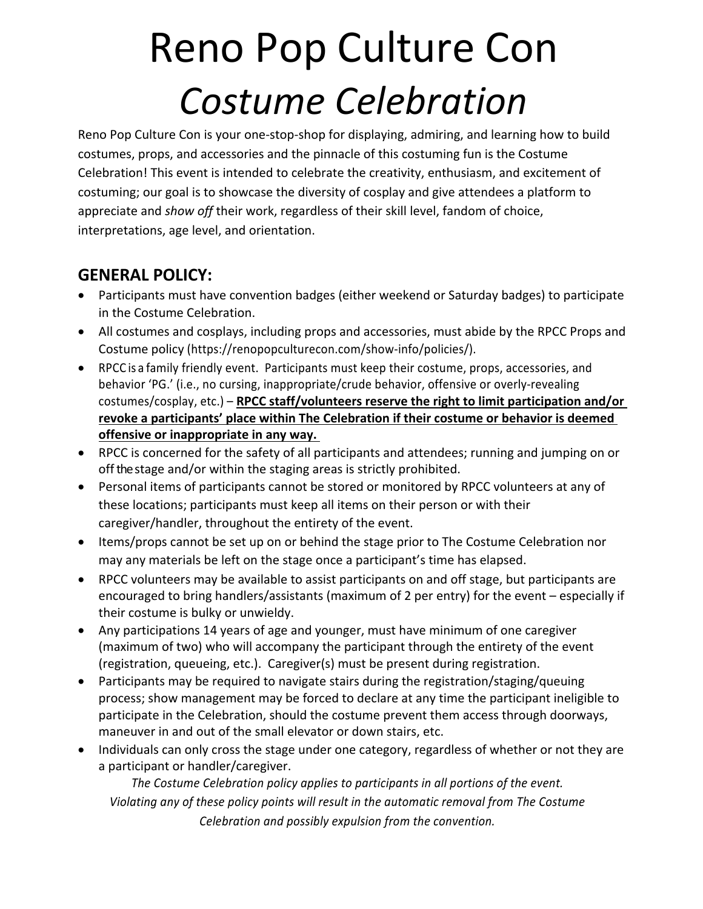## Reno Pop Culture Con *Costume Celebration*

Reno Pop Culture Con is your one-stop-shop for displaying, admiring, and learning how to build costumes, props, and accessories and the pinnacle of this costuming fun is the Costume Celebration! This event is intended to celebrate the creativity, enthusiasm, and excitement of costuming; our goal is to showcase the diversity of cosplay and give attendees a platform to appreciate and *show off* their work, regardless of their skill level, fandom of choice, interpretations, age level, and orientation.

#### **GENERAL POLICY:**

- Participants must have convention badges (either weekend or Saturday badges) to participate in the Costume Celebration.
- All costumes and cosplays, including props and accessories, must abide by the RPCC Props and Costume policy (https://renopopculturecon.com/show-info/policies/).
- RPCC is a family friendly event. Participants must keep their costume, props, accessories, and behavior 'PG.' (i.e., no cursing, inappropriate/crude behavior, offensive or overly-revealing costumes/cosplay, etc.) – **RPCC staff/volunteers reserve the right to limit participation and/or revoke a participants' place within The Celebration if their costume or behavior is deemed offensive or inappropriate in any way.**
- RPCC is concerned for the safety of all participants and attendees; running and jumping on or off the stage and/or within the staging areas is strictly prohibited.
- Personal items of participants cannot be stored or monitored by RPCC volunteers at any of these locations; participants must keep all items on their person or with their caregiver/handler, throughout the entirety of the event.
- Items/props cannot be set up on or behind the stage prior to The Costume Celebration nor may any materials be left on the stage once a participant's time has elapsed.
- RPCC volunteers may be available to assist participants on and off stage, but participants are encouraged to bring handlers/assistants (maximum of 2 per entry) for the event – especially if their costume is bulky or unwieldy.
- Any participations 14 years of age and younger, must have minimum of one caregiver (maximum of two) who will accompany the participant through the entirety of the event (registration, queueing, etc.). Caregiver(s) must be present during registration.
- Participants may be required to navigate stairs during the registration/staging/queuing process; show management may be forced to declare at any time the participant ineligible to participate in the Celebration, should the costume prevent them access through doorways, maneuver in and out of the small elevator or down stairs, etc.
- Individuals can only cross the stage under one category, regardless of whether or not they are a participant or handler/caregiver.

*The Costume Celebration policy applies to participants in all portions of the event. Violating any of these policy points will result in the automatic removal from The Costume Celebration and possibly expulsion from the convention.*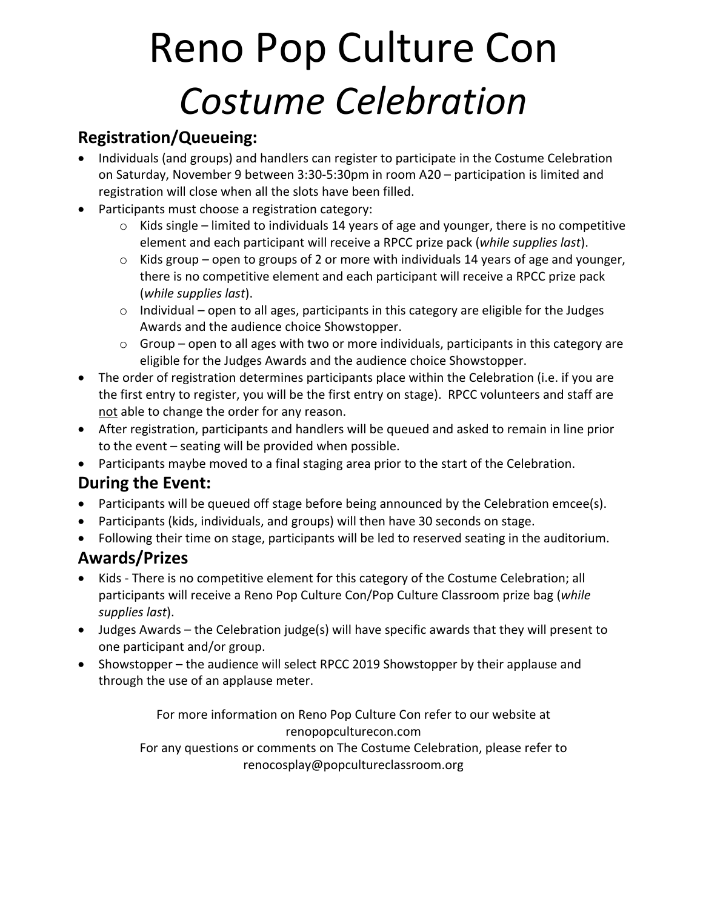# Reno Pop Culture Con *Costume Celebration*

### **Registration/Queueing:**

- Individuals (and groups) and handlers can register to participate in the Costume Celebration on Saturday, November 9 between 3:30-5:30pm in room A20 – participation is limited and registration will close when all the slots have been filled.
- Participants must choose a registration category:
	- $\circ$  Kids single limited to individuals 14 years of age and younger, there is no competitive element and each participant will receive a RPCC prize pack (*while supplies last*).
	- $\circ$  Kids group open to groups of 2 or more with individuals 14 years of age and younger, there is no competitive element and each participant will receive a RPCC prize pack (*while supplies last*).
	- $\circ$  Individual open to all ages, participants in this category are eligible for the Judges Awards and the audience choice Showstopper.
	- o Group open to all ages with two or more individuals, participants in this category are eligible for the Judges Awards and the audience choice Showstopper.
- The order of registration determines participants place within the Celebration (i.e. if you are the first entry to register, you will be the first entry on stage). RPCC volunteers and staff are not able to change the order for any reason.
- After registration, participants and handlers will be queued and asked to remain in line prior to the event – seating will be provided when possible.
- Participants maybe moved to a final staging area prior to the start of the Celebration.

#### **During the Event:**

- Participants will be queued off stage before being announced by the Celebration emcee(s).
- Participants (kids, individuals, and groups) will then have 30 seconds on stage.
- Following their time on stage, participants will be led to reserved seating in the auditorium.

#### **Awards/Prizes**

- Kids There is no competitive element for this category of the Costume Celebration; all participants will receive a Reno Pop Culture Con/Pop Culture Classroom prize bag (*while supplies last*).
- Judges Awards the Celebration judge(s) will have specific awards that they will present to one participant and/or group.
- Showstopper the audience will select RPCC 2019 Showstopper by their applause and through the use of an applause meter.

For more information on Reno Pop Culture Con refer to our website at renopopculturecon.com

For any questions or comments on The Costume Celebration, please refer to renocosplay@popcultureclassroom.org